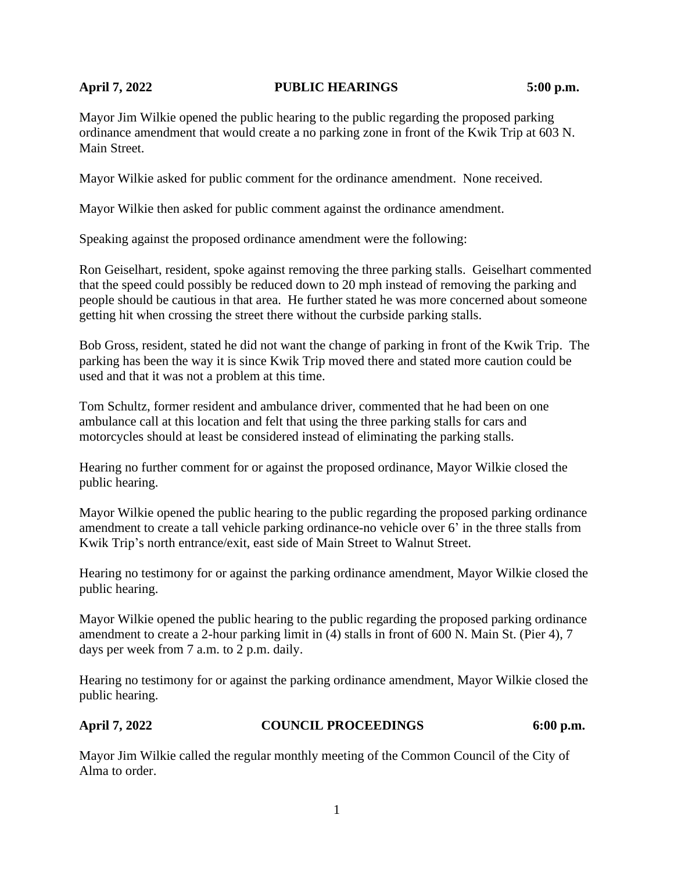# **April 7, 2022 PUBLIC HEARINGS 5:00 p.m.**

Mayor Jim Wilkie opened the public hearing to the public regarding the proposed parking ordinance amendment that would create a no parking zone in front of the Kwik Trip at 603 N. Main Street.

Mayor Wilkie asked for public comment for the ordinance amendment. None received.

Mayor Wilkie then asked for public comment against the ordinance amendment.

Speaking against the proposed ordinance amendment were the following:

Ron Geiselhart, resident, spoke against removing the three parking stalls. Geiselhart commented that the speed could possibly be reduced down to 20 mph instead of removing the parking and people should be cautious in that area. He further stated he was more concerned about someone getting hit when crossing the street there without the curbside parking stalls.

Bob Gross, resident, stated he did not want the change of parking in front of the Kwik Trip. The parking has been the way it is since Kwik Trip moved there and stated more caution could be used and that it was not a problem at this time.

Tom Schultz, former resident and ambulance driver, commented that he had been on one ambulance call at this location and felt that using the three parking stalls for cars and motorcycles should at least be considered instead of eliminating the parking stalls.

Hearing no further comment for or against the proposed ordinance, Mayor Wilkie closed the public hearing.

Mayor Wilkie opened the public hearing to the public regarding the proposed parking ordinance amendment to create a tall vehicle parking ordinance-no vehicle over 6' in the three stalls from Kwik Trip's north entrance/exit, east side of Main Street to Walnut Street.

Hearing no testimony for or against the parking ordinance amendment, Mayor Wilkie closed the public hearing.

Mayor Wilkie opened the public hearing to the public regarding the proposed parking ordinance amendment to create a 2-hour parking limit in (4) stalls in front of 600 N. Main St. (Pier 4), 7 days per week from 7 a.m. to 2 p.m. daily.

Hearing no testimony for or against the parking ordinance amendment, Mayor Wilkie closed the public hearing.

### **April 7, 2022 COUNCIL PROCEEDINGS 6:00 p.m.**

Mayor Jim Wilkie called the regular monthly meeting of the Common Council of the City of Alma to order.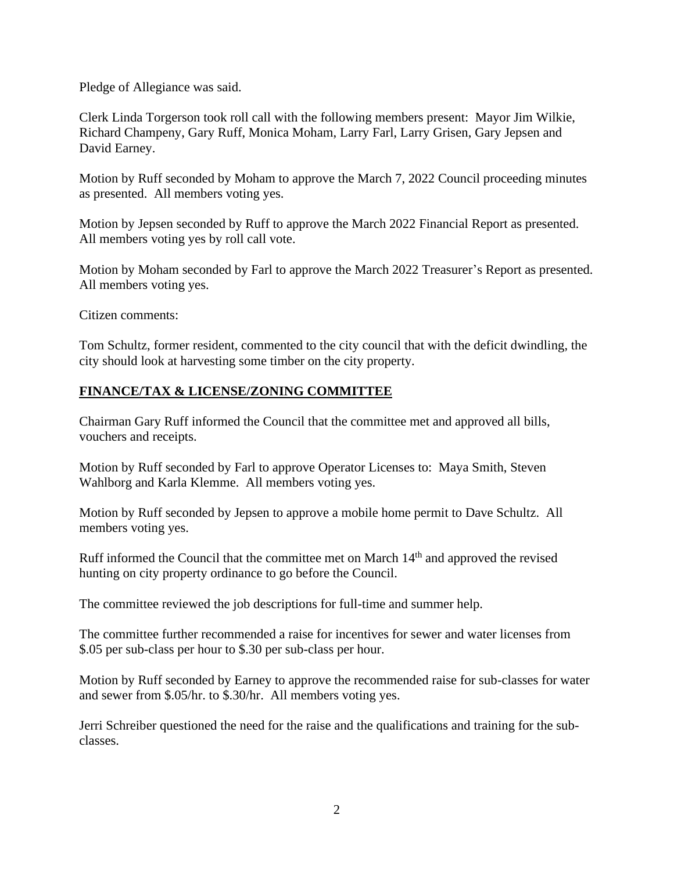Pledge of Allegiance was said.

Clerk Linda Torgerson took roll call with the following members present: Mayor Jim Wilkie, Richard Champeny, Gary Ruff, Monica Moham, Larry Farl, Larry Grisen, Gary Jepsen and David Earney.

Motion by Ruff seconded by Moham to approve the March 7, 2022 Council proceeding minutes as presented. All members voting yes.

Motion by Jepsen seconded by Ruff to approve the March 2022 Financial Report as presented. All members voting yes by roll call vote.

Motion by Moham seconded by Farl to approve the March 2022 Treasurer's Report as presented. All members voting yes.

Citizen comments:

Tom Schultz, former resident, commented to the city council that with the deficit dwindling, the city should look at harvesting some timber on the city property.

# **FINANCE/TAX & LICENSE/ZONING COMMITTEE**

Chairman Gary Ruff informed the Council that the committee met and approved all bills, vouchers and receipts.

Motion by Ruff seconded by Farl to approve Operator Licenses to: Maya Smith, Steven Wahlborg and Karla Klemme. All members voting yes.

Motion by Ruff seconded by Jepsen to approve a mobile home permit to Dave Schultz. All members voting yes.

Ruff informed the Council that the committee met on March 14<sup>th</sup> and approved the revised hunting on city property ordinance to go before the Council.

The committee reviewed the job descriptions for full-time and summer help.

The committee further recommended a raise for incentives for sewer and water licenses from \$.05 per sub-class per hour to \$.30 per sub-class per hour.

Motion by Ruff seconded by Earney to approve the recommended raise for sub-classes for water and sewer from \$.05/hr. to \$.30/hr. All members voting yes.

Jerri Schreiber questioned the need for the raise and the qualifications and training for the subclasses.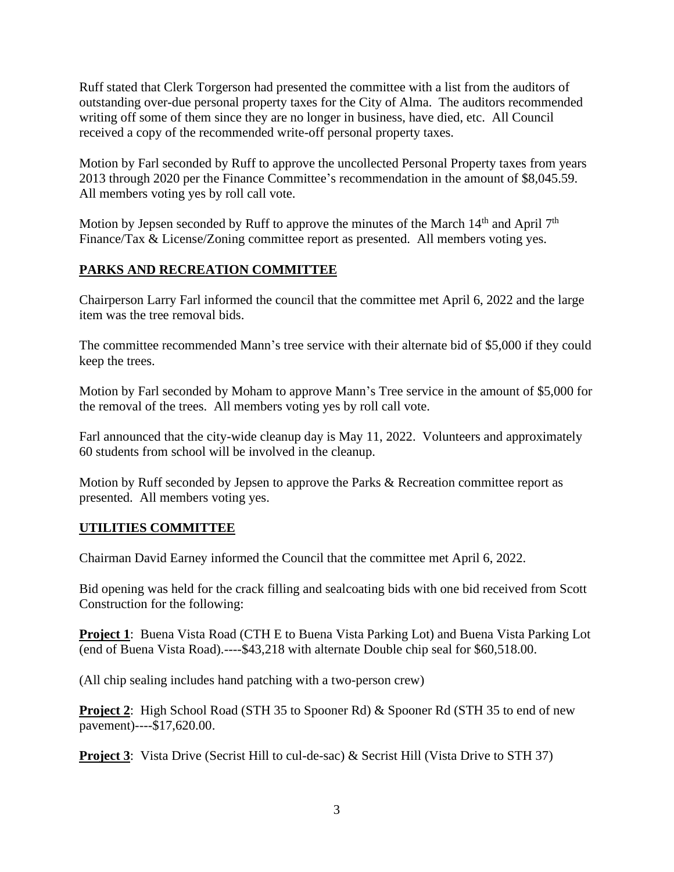Ruff stated that Clerk Torgerson had presented the committee with a list from the auditors of outstanding over-due personal property taxes for the City of Alma. The auditors recommended writing off some of them since they are no longer in business, have died, etc. All Council received a copy of the recommended write-off personal property taxes.

Motion by Farl seconded by Ruff to approve the uncollected Personal Property taxes from years 2013 through 2020 per the Finance Committee's recommendation in the amount of \$8,045.59. All members voting yes by roll call vote.

Motion by Jepsen seconded by Ruff to approve the minutes of the March  $14<sup>th</sup>$  and April  $7<sup>th</sup>$ Finance/Tax & License/Zoning committee report as presented. All members voting yes.

# **PARKS AND RECREATION COMMITTEE**

Chairperson Larry Farl informed the council that the committee met April 6, 2022 and the large item was the tree removal bids.

The committee recommended Mann's tree service with their alternate bid of \$5,000 if they could keep the trees.

Motion by Farl seconded by Moham to approve Mann's Tree service in the amount of \$5,000 for the removal of the trees. All members voting yes by roll call vote.

Farl announced that the city-wide cleanup day is May 11, 2022. Volunteers and approximately 60 students from school will be involved in the cleanup.

Motion by Ruff seconded by Jepsen to approve the Parks & Recreation committee report as presented. All members voting yes.

### **UTILITIES COMMITTEE**

Chairman David Earney informed the Council that the committee met April 6, 2022.

Bid opening was held for the crack filling and sealcoating bids with one bid received from Scott Construction for the following:

**Project 1**: Buena Vista Road (CTH E to Buena Vista Parking Lot) and Buena Vista Parking Lot (end of Buena Vista Road).----\$43,218 with alternate Double chip seal for \$60,518.00.

(All chip sealing includes hand patching with a two-person crew)

**Project 2:** High School Road (STH 35 to Spooner Rd) & Spooner Rd (STH 35 to end of new pavement)----\$17,620.00.

**Project 3**: Vista Drive (Secrist Hill to cul-de-sac) & Secrist Hill (Vista Drive to STH 37)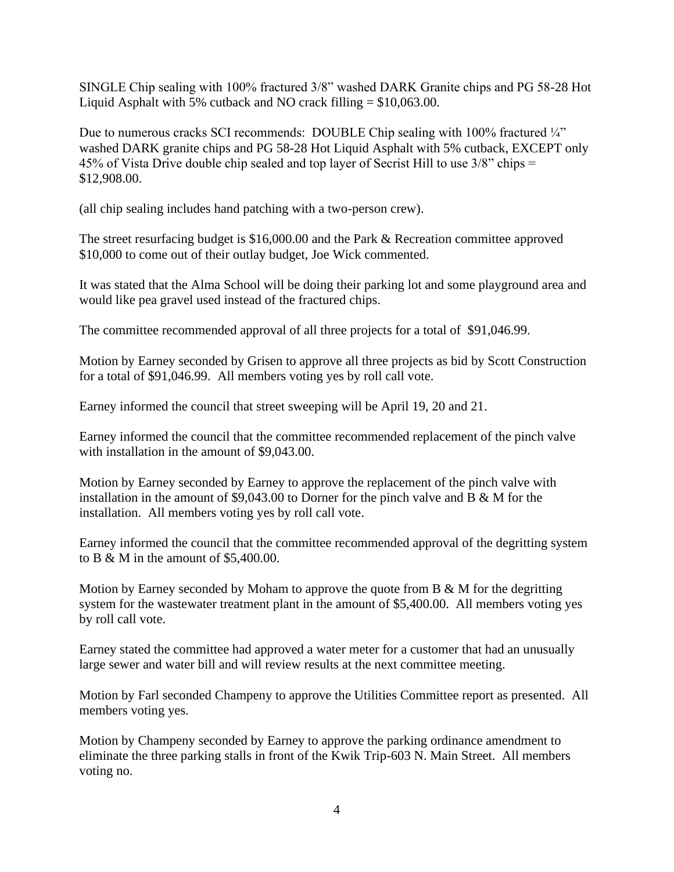SINGLE Chip sealing with 100% fractured 3/8" washed DARK Granite chips and PG 58-28 Hot Liquid Asphalt with 5% cutback and NO crack filling  $= $10,063.00$ .

Due to numerous cracks SCI recommends: DOUBLE Chip sealing with 100% fractured  $\frac{1}{4}$ " washed DARK granite chips and PG 58-28 Hot Liquid Asphalt with 5% cutback, EXCEPT only 45% of Vista Drive double chip sealed and top layer of Secrist Hill to use 3/8" chips = \$12,908.00.

(all chip sealing includes hand patching with a two-person crew).

The street resurfacing budget is \$16,000.00 and the Park & Recreation committee approved \$10,000 to come out of their outlay budget, Joe Wick commented.

It was stated that the Alma School will be doing their parking lot and some playground area and would like pea gravel used instead of the fractured chips.

The committee recommended approval of all three projects for a total of \$91,046.99.

Motion by Earney seconded by Grisen to approve all three projects as bid by Scott Construction for a total of \$91,046.99. All members voting yes by roll call vote.

Earney informed the council that street sweeping will be April 19, 20 and 21.

Earney informed the council that the committee recommended replacement of the pinch valve with installation in the amount of \$9,043.00.

Motion by Earney seconded by Earney to approve the replacement of the pinch valve with installation in the amount of \$9,043.00 to Dorner for the pinch valve and B & M for the installation. All members voting yes by roll call vote.

Earney informed the council that the committee recommended approval of the degritting system to B & M in the amount of \$5,400.00.

Motion by Earney seconded by Moham to approve the quote from  $B \& M$  for the degritting system for the wastewater treatment plant in the amount of \$5,400.00. All members voting yes by roll call vote.

Earney stated the committee had approved a water meter for a customer that had an unusually large sewer and water bill and will review results at the next committee meeting.

Motion by Farl seconded Champeny to approve the Utilities Committee report as presented. All members voting yes.

Motion by Champeny seconded by Earney to approve the parking ordinance amendment to eliminate the three parking stalls in front of the Kwik Trip-603 N. Main Street. All members voting no.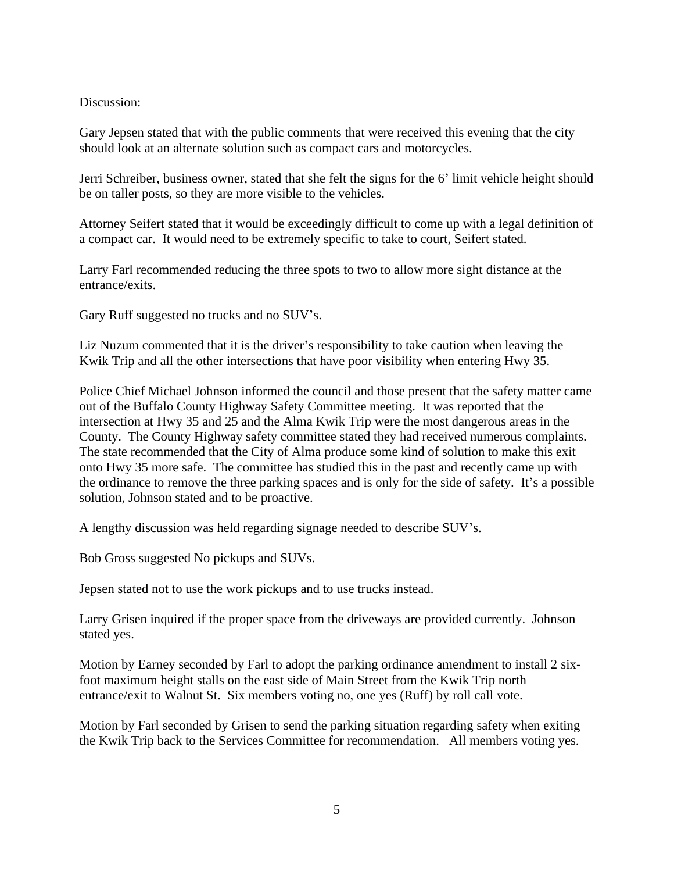#### Discussion:

Gary Jepsen stated that with the public comments that were received this evening that the city should look at an alternate solution such as compact cars and motorcycles.

Jerri Schreiber, business owner, stated that she felt the signs for the 6' limit vehicle height should be on taller posts, so they are more visible to the vehicles.

Attorney Seifert stated that it would be exceedingly difficult to come up with a legal definition of a compact car. It would need to be extremely specific to take to court, Seifert stated.

Larry Farl recommended reducing the three spots to two to allow more sight distance at the entrance/exits.

Gary Ruff suggested no trucks and no SUV's.

Liz Nuzum commented that it is the driver's responsibility to take caution when leaving the Kwik Trip and all the other intersections that have poor visibility when entering Hwy 35.

Police Chief Michael Johnson informed the council and those present that the safety matter came out of the Buffalo County Highway Safety Committee meeting. It was reported that the intersection at Hwy 35 and 25 and the Alma Kwik Trip were the most dangerous areas in the County. The County Highway safety committee stated they had received numerous complaints. The state recommended that the City of Alma produce some kind of solution to make this exit onto Hwy 35 more safe. The committee has studied this in the past and recently came up with the ordinance to remove the three parking spaces and is only for the side of safety. It's a possible solution, Johnson stated and to be proactive.

A lengthy discussion was held regarding signage needed to describe SUV's.

Bob Gross suggested No pickups and SUVs.

Jepsen stated not to use the work pickups and to use trucks instead.

Larry Grisen inquired if the proper space from the driveways are provided currently. Johnson stated yes.

Motion by Earney seconded by Farl to adopt the parking ordinance amendment to install 2 sixfoot maximum height stalls on the east side of Main Street from the Kwik Trip north entrance/exit to Walnut St. Six members voting no, one yes (Ruff) by roll call vote.

Motion by Farl seconded by Grisen to send the parking situation regarding safety when exiting the Kwik Trip back to the Services Committee for recommendation. All members voting yes.